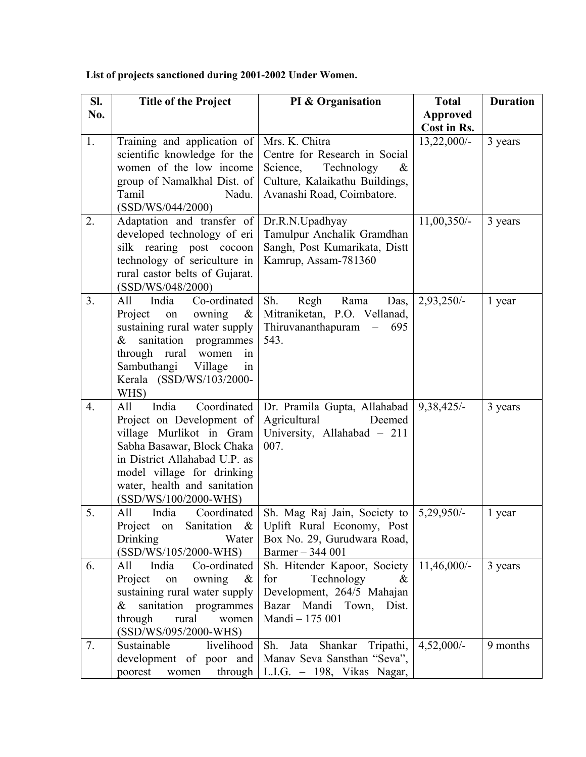| SI. | <b>Title of the Project</b>                                                                                                                                                                                                                | PI & Organisation                                                                                                                                 | <b>Total</b>    | <b>Duration</b> |
|-----|--------------------------------------------------------------------------------------------------------------------------------------------------------------------------------------------------------------------------------------------|---------------------------------------------------------------------------------------------------------------------------------------------------|-----------------|-----------------|
| No. |                                                                                                                                                                                                                                            |                                                                                                                                                   | <b>Approved</b> |                 |
|     |                                                                                                                                                                                                                                            |                                                                                                                                                   | Cost in Rs.     |                 |
| 1.  | Training and application of<br>scientific knowledge for the<br>women of the low income<br>group of Namalkhal Dist. of<br>Tamil<br>Nadu.<br>(SSD/WS/044/2000)                                                                               | Mrs. K. Chitra<br>Centre for Research in Social<br>Science,<br>Technology<br>$\&$<br>Culture, Kalaikathu Buildings,<br>Avanashi Road, Coimbatore. | $13,22,000/-$   | 3 years         |
| 2.  | Adaptation and transfer of<br>developed technology of eri<br>silk rearing post cocoon<br>technology of sericulture in<br>rural castor belts of Gujarat.<br>(SSD/WS/048/2000)                                                               | Dr.R.N.Upadhyay<br>Tamulpur Anchalik Gramdhan<br>Sangh, Post Kumarikata, Distt<br>Kamrup, Assam-781360                                            | 11,00,350/-     | 3 years         |
| 3.  | Co-ordinated<br>India<br>All<br>owning<br>Project<br>on<br>$\&$<br>sustaining rural water supply<br>sanitation<br>programmes<br>$\&$<br>through rural women<br>in<br>Sambuthangi Village<br>in<br>Kerala (SSD/WS/103/2000-<br>WHS)         | Sh.<br>Rama<br>Regh<br>Das,<br>Mitraniketan, P.O. Vellanad,<br>Thiruvananthapuram<br>$-695$<br>543.                                               | $2,93,250/-$    | 1 year          |
| 4.  | India<br>Coordinated<br>All<br>Project on Development of<br>village Murlikot in Gram<br>Sabha Basawar, Block Chaka<br>in District Allahabad U.P. as<br>model village for drinking<br>water, health and sanitation<br>(SSD/WS/100/2000-WHS) | Dr. Pramila Gupta, Allahabad<br>Agricultural<br>Deemed<br>University, Allahabad - 211<br>007.                                                     | $9,38,425/-$    | 3 years         |
| 5.  | India<br>Coordinated<br>All<br>Project on<br>Sanitation $\&$<br>Drinking<br>Water<br>(SSD/WS/105/2000-WHS)                                                                                                                                 | Sh. Mag Raj Jain, Society to   5,29,950/-<br>Uplift Rural Economy, Post<br>Box No. 29, Gurudwara Road,<br>Barmer - 344 001                        |                 | 1 year          |
| 6.  | India<br>Co-ordinated<br>All<br>Project<br>owning<br>on<br>$\&$<br>sustaining rural water supply<br>$\&$<br>sanitation programmes<br>rural<br>through<br>women<br>(SSD/WS/095/2000-WHS)                                                    | Sh. Hitender Kapoor, Society<br>Technology<br>for<br>&<br>Development, 264/5 Mahajan<br>Bazar Mandi Town,<br>Dist.<br>Mandi - 175 001             | $11,46,000/-$   | 3 years         |
| 7.  | Sustainable<br>livelihood<br>development of poor and<br>poorest<br>women                                                                                                                                                                   | Sh.<br>Jata Shankar Tripathi,<br>Manav Seva Sansthan "Seva",<br>through $ $ L.I.G. - 198, Vikas Nagar,                                            | $4,52,000/-$    | 9 months        |

**List of projects sanctioned during 2001-2002 Under Women.**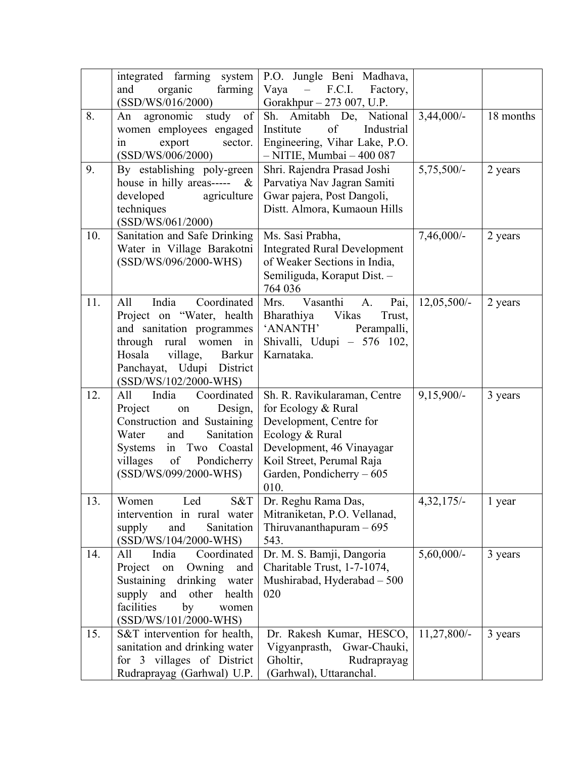|     | integrated farming system<br>organic<br>and<br>farming<br>(SSD/WS/016/2000)                                                                                                                                        | P.O. Jungle Beni Madhava,<br>F.C.I.<br>Vaya<br>$\frac{1}{2}$<br>Factory,<br>Gorakhpur - 273 007, U.P.                                                                                            |               |           |
|-----|--------------------------------------------------------------------------------------------------------------------------------------------------------------------------------------------------------------------|--------------------------------------------------------------------------------------------------------------------------------------------------------------------------------------------------|---------------|-----------|
| 8.  | study of<br>agronomic<br>An<br>women employees engaged<br>export<br>sector.<br>in<br>(SSD/WS/006/2000)                                                                                                             | Sh. Amitabh De, National<br>of<br>Industrial<br>Institute<br>Engineering, Vihar Lake, P.O.<br>$-$ NITIE, Mumbai $-400087$                                                                        | $3,44,000/-$  | 18 months |
| 9.  | By establishing poly-green<br>house in hilly areas-----<br>$\&$<br>developed<br>agriculture<br>techniques<br>(SSD/WS/061/2000)                                                                                     | Shri. Rajendra Prasad Joshi<br>Parvatiya Nav Jagran Samiti<br>Gwar pajera, Post Dangoli,<br>Distt. Almora, Kumaoun Hills                                                                         | $5,75,500/-$  | 2 years   |
| 10. | Sanitation and Safe Drinking<br>Water in Village Barakotni<br>(SSD/WS/096/2000-WHS)                                                                                                                                | Ms. Sasi Prabha,<br><b>Integrated Rural Development</b><br>of Weaker Sections in India,<br>Semiliguda, Koraput Dist. -<br>764 036                                                                | $7,46,000/-$  | 2 years   |
| 11. | India<br>Coordinated<br>All<br>Project on "Water, health<br>and sanitation programmes<br>through rural women<br>in<br>Hosala<br>village,<br><b>Barkur</b><br>Panchayat, Udupi<br>District<br>(SSD/WS/102/2000-WHS) | Vasanthi<br>Pai,<br>Mrs.<br>A.<br>Vikas<br>Trust,<br>Bharathiya<br>'ANANTH'<br>Perampalli,<br>Shivalli, Udupi - 576 102,<br>Karnataka.                                                           | $12,05,500/-$ | 2 years   |
| 12. | Coordinated<br>All<br>India<br>Project<br>Design,<br>on<br>Construction and Sustaining<br>Water<br>and<br>Sanitation<br>Systems in Two<br>Coastal<br>of<br>villages<br>Pondicherry<br>(SSD/WS/099/2000-WHS)        | Sh. R. Ravikularaman, Centre<br>for Ecology & Rural<br>Development, Centre for<br>Ecology & Rural<br>Development, 46 Vinayagar<br>Koil Street, Perumal Raja<br>Garden, Pondicherry - 605<br>010. | $9,15,900/-$  | 3 years   |
| 13. | Led<br>S&T<br>Women<br>intervention in rural water<br>Sanitation<br>supply<br>and<br>(SSD/WS/104/2000-WHS)                                                                                                         | Dr. Reghu Rama Das,<br>Mitraniketan, P.O. Vellanad,<br>Thiruvananthapuram $-695$<br>543.                                                                                                         | $4,32,175/-$  | 1 year    |
| 14. | All<br>India<br>Coordinated<br>Project<br>Owning<br>on<br>and<br>Sustaining<br>drinking water<br>supply and other<br>health<br>facilities<br>by<br>women<br>$(SSD/WS/101/2000-WHS)$                                | Dr. M. S. Bamji, Dangoria<br>Charitable Trust, 1-7-1074,<br>Mushirabad, Hyderabad - 500<br>020                                                                                                   | $5,60,000/$ - | 3 years   |
| 15. | S&T intervention for health,<br>sanitation and drinking water<br>villages of District<br>for $3$<br>Rudraprayag (Garhwal) U.P.                                                                                     | Dr. Rakesh Kumar, HESCO,<br>Vigyanprasth,<br>Gwar-Chauki,<br>Gholtir,<br>Rudraprayag<br>(Garhwal), Uttaranchal.                                                                                  | $11,27,800/-$ | 3 years   |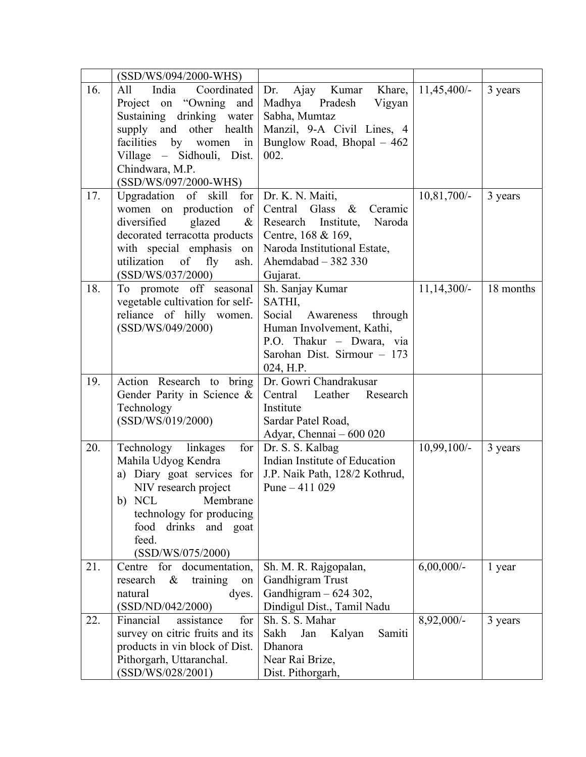|     | (SSD/WS/094/2000-WHS)                                                                                                                                                                                                   |                                                                                                                                                             |               |           |
|-----|-------------------------------------------------------------------------------------------------------------------------------------------------------------------------------------------------------------------------|-------------------------------------------------------------------------------------------------------------------------------------------------------------|---------------|-----------|
| 16. | All<br>India Coordinated<br>Project on "Owning and<br>Sustaining drinking water<br>supply and other health<br>facilities by women in<br>Village – Sidhouli, Dist.<br>Chindwara, M.P.<br>(SSD/WS/097/2000-WHS)           | Dr. Ajay Kumar Khare,<br>Madhya<br>Pradesh<br>Vigyan<br>Sabha, Mumtaz<br>Manzil, 9-A Civil Lines, 4<br>Bunglow Road, Bhopal $-462$<br>002.                  | $11,45,400/-$ | 3 years   |
| 17. | Upgradation of skill for Dr. K. N. Maiti,<br>women on production of<br>diversified glazed<br>$\&$<br>decorated terracotta products<br>with special emphasis on<br>utilization of fly<br>ash.<br>(SSD/WS/037/2000)       | Central<br>Glass $\&$<br>Ceramic<br>Research Institute, Naroda<br>Centre, 168 & 169,<br>Naroda Institutional Estate,<br>Ahemdabad $-382330$<br>Gujarat.     | $10,81,700/-$ | 3 years   |
| 18. | To promote off seasonal<br>vegetable cultivation for self-<br>reliance of hilly women.<br>(SSD/WS/049/2000)                                                                                                             | Sh. Sanjay Kumar<br>SATHI,<br>Social Awareness through<br>Human Involvement, Kathi,<br>P.O. Thakur - Dwara, via<br>Sarohan Dist. Sirmour - 173<br>024, H.P. | $11,14,300/-$ | 18 months |
| 19. | Action Research to bring<br>Gender Parity in Science &<br>Technology<br>(SSD/WS/019/2000)                                                                                                                               | Dr. Gowri Chandrakusar<br>Central Leather Research<br>Institute<br>Sardar Patel Road,<br>Adyar, Chennai - 600 020                                           |               |           |
| 20. | Technology linkages<br>for $\vert$<br>Mahila Udyog Kendra<br>a) Diary goat services for<br>NIV research project<br>b) NCL<br>Membrane<br>technology for producing<br>food drinks and goat<br>feed.<br>(SSD/WS/075/2000) | Dr. S. S. Kalbag<br>Indian Institute of Education<br>J.P. Naik Path, 128/2 Kothrud,<br>Pune $-411029$                                                       | $10,99,100/-$ | 3 years   |
| 21. | for<br>documentation,<br>Centre<br>$\&$<br>training<br>research<br>on<br>natural<br>dyes.<br>(SSD/ND/042/2000)                                                                                                          | Sh. M. R. Rajgopalan,<br>Gandhigram Trust<br>Gandhigram - 624 302,<br>Dindigul Dist., Tamil Nadu                                                            | $6,00,000/$ - | 1 year    |
| 22. | Financial<br>for<br>assistance<br>survey on citric fruits and its<br>products in vin block of Dist.<br>Pithorgarh, Uttaranchal.<br>(SSD/WS/028/2001)                                                                    | Sh. S. S. Mahar<br>Sakh<br>Jan<br>Kalyan<br>Samiti<br>Dhanora<br>Near Rai Brize,<br>Dist. Pithorgarh,                                                       | 8,92,000/-    | 3 years   |